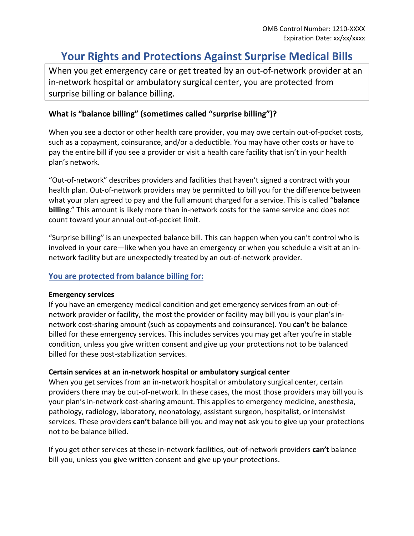# **Your Rights and Protections Against Surprise Medical Bills**

When you get emergency care or get treated by an out-of-network provider at an in-network hospital or ambulatory surgical center, you are protected from surprise billing or balance billing.

## **What is "balance billing" (sometimes called "surprise billing")?**

When you see a doctor or other health care provider, you may owe certain out-of-pocket costs, such as a copayment, coinsurance, and/or a deductible. You may have other costs or have to pay the entire bill if you see a provider or visit a health care facility that isn't in your health plan's network.

"Out-of-network" describes providers and facilities that haven't signed a contract with your health plan. Out-of-network providers may be permitted to bill you for the difference between what your plan agreed to pay and the full amount charged for a service. This is called "**balance billing**." This amount is likely more than in-network costs for the same service and does not count toward your annual out-of-pocket limit.

"Surprise billing" is an unexpected balance bill. This can happen when you can't control who is involved in your care—like when you have an emergency or when you schedule a visit at an innetwork facility but are unexpectedly treated by an out-of-network provider.

### **You are protected from balance billing for:**

#### **Emergency services**

If you have an emergency medical condition and get emergency services from an out-ofnetwork provider or facility, the most the provider or facility may bill you is your plan's innetwork cost-sharing amount (such as copayments and coinsurance). You **can't** be balance billed for these emergency services. This includes services you may get after you're in stable condition, unless you give written consent and give up your protections not to be balanced billed for these post-stabilization services.

### **Certain services at an in-network hospital or ambulatory surgical center**

When you get services from an in-network hospital or ambulatory surgical center, certain providers there may be out-of-network. In these cases, the most those providers may bill you is your plan's in-network cost-sharing amount. This applies to emergency medicine, anesthesia, pathology, radiology, laboratory, neonatology, assistant surgeon, hospitalist, or intensivist services. These providers **can't** balance bill you and may **not** ask you to give up your protections not to be balance billed.

If you get other services at these in-network facilities, out-of-network providers **can't** balance bill you, unless you give written consent and give up your protections.